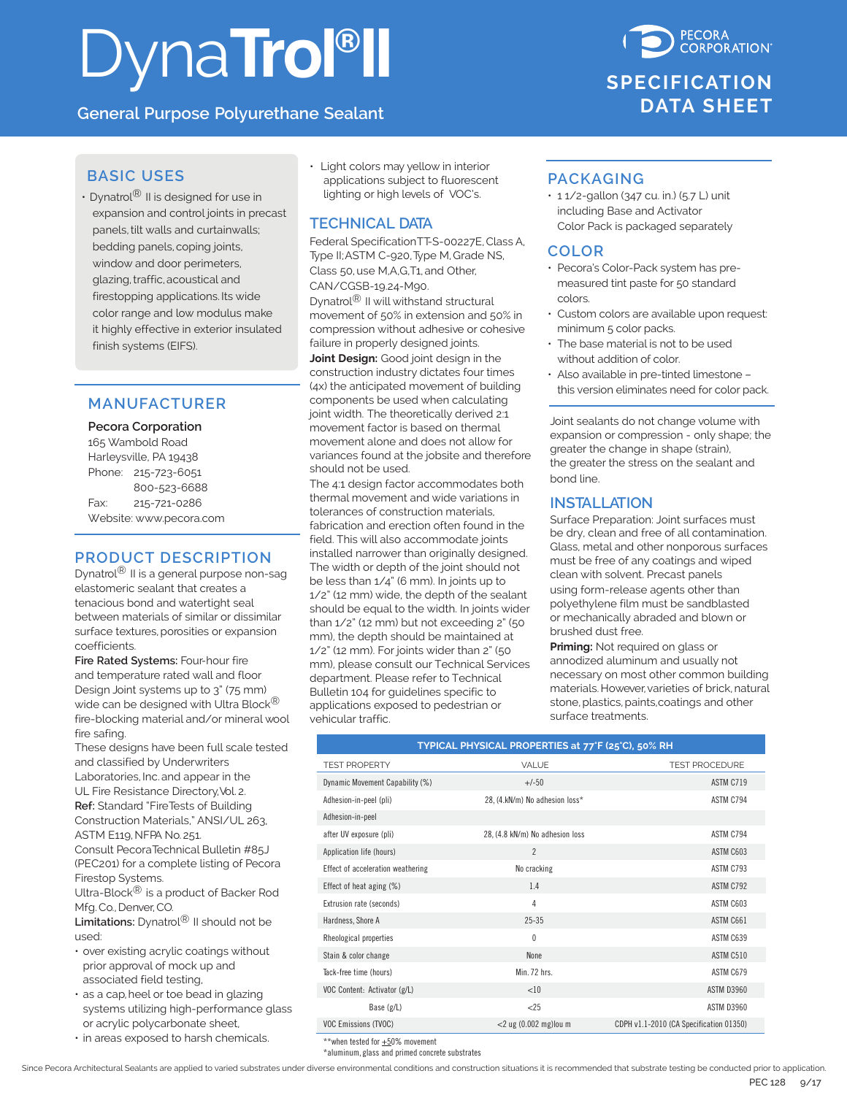# DynaTrol<sup>®</sup>II

**General Purpose Polyurethane Sealant**

### **BASIC USES**

• Dynatrol ${}^{\circledR}$  II is designed for use in expansion and control joints in precast panels, tilt walls and curtainwalls; bedding panels, coping joints, window and door perimeters, glazing, traffic, acoustical and firestopping applications. Its wide color range and low modulus make it highly effective in exterior insulated finish systems (EIFS).

### **MANUFACTURER**

**Pecora Corporation** 165 Wambold Road Harleysville, PA 19438 Phone: 215-723-6051 800-523-6688 Fax: 215-721-0286 Website: www.pecora.com

### **PRODUCT DESCRIPTION**

Dynatrol<sup>®</sup> II is a general purpose non-sag elastomeric sealant that creates a tenacious bond and watertight seal between materials of similar or dissimilar surface textures, porosities or expansion coefficients.

**Fire Rated Systems:** Four-hour fire and temperature rated wall and floor Design Joint systems up to 3" (75 mm) wide can be designed with Ultra Block<sup>®</sup> fire-blocking material and/or mineral wool fire safing.

These designs have been full scale tested and classified by Underwriters Laboratories, Inc. and appear in the

UL Fire Resistance Directory, Vol. 2. **Ref:** Standard "FireTests of Building Construction Materials," ANSI/UL 263, ASTM E119, NFPA No. 251.

Consult PecoraTechnical Bulletin #85J (PEC201) for a complete listing of Pecora Firestop Systems.

Ultra-Block® is a product of Backer Rod Mfg. Co., Denver, CO.

**Limitations:** Dynatrol® II should not be used:

- over existing acrylic coatings without prior approval of mock up and associated field testing,
- as a cap, heel or toe bead in glazing systems utilizing high-performance glass or acrylic polycarbonate sheet,
- in areas exposed to harsh chemicals.

• Light colors may yellow in interior applications subject to fluorescent lighting or high levels of VOC's.

### **TECHNICAL DATA**

Federal SpecificationTT-S-00227E, Class A, Type II; ASTM C-920, Type M, Grade NS, Class 50, use M,A,G,T1, and Other, CAN/CGSB-19.24-M90.

Dynatrol® II will withstand structural movement of 50% in extension and 50% in compression without adhesive or cohesive failure in properly designed joints.

**Joint Design:** Good joint design in the construction industry dictates four times (4x) the anticipated movement of building components be used when calculating joint width. The theoretically derived 2:1 movement factor is based on thermal movement alone and does not allow for variances found at the jobsite and therefore should not be used.

The 4:1 design factor accommodates both thermal movement and wide variations in tolerances of construction materials, fabrication and erection often found in the field. This will also accommodate joints installed narrower than originally designed. The width or depth of the joint should not be less than 1/4" (6 mm). In joints up to 1/2" (12 mm) wide, the depth of the sealant should be equal to the width. In joints wider than 1/2" (12 mm) but not exceeding 2" (50 mm), the depth should be maintained at 1/2" (12 mm). For joints wider than 2" (50 mm), please consult our Technical Services department. Please refer to Technical Bulletin 104 for guidelines specific to applications exposed to pedestrian or vehicular traffic.



### **PACKAGING**

• 1 1/2-gallon (347 cu. in.) (5.7 L) unit including Base and Activator Color Pack is packaged separately

### **COLOR**

- Pecora's Color-Pack system has premeasured tint paste for 50 standard colors.
- Custom colors are available upon request: minimum 5 color packs.
- The base material is not to be used without addition of color.
- Also available in pre-tinted limestone this version eliminates need for color pack.

Joint sealants do not change volume with expansion or compression - only shape; the greater the change in shape (strain), the greater the stress on the sealant and bond line.

### **INSTALLATION**

Surface Preparation: Joint surfaces must be dry, clean and free of all contamination. Glass, metal and other nonporous surfaces must be free of any coatings and wiped clean with solvent. Precast panels using form-release agents other than polyethylene film must be sandblasted or mechanically abraded and blown or brushed dust free.

**Priming:** Not required on glass or annodized aluminum and usually not necessary on most other common building materials. However, varieties of brick, natural stone, plastics, paints, coatings and other surface treatments.

### **TYPICAL PHYSICAL PROPERTIES at 77°F (25°C), 50% RH** TEST PROPERTY **TEST PROCEDURE** VALUE **TEST PROCEDURE** Dynamic Movement Capability (%)  $+/-50$ Adhesion-in-peel (pli) 28, (4.kN/m) No adhesion loss\* ASTM C794 Adhesion-in-peel after UV exposure (pli) 28, (4.8 kN/m) No adhesion loss ASTM C794 Application life (hours) 2 ASTM C603 Effect of acceleration weathering No cracking No cracking ASTM C793 Effect of heat aging (%) 1.4 ASTM C792 Extrusion rate (seconds) and the contract of the contract of the contract of the contract of the contract of the contract of the contract of the contract of the contract of the contract of the contract of the contract of t Hardness, Shore A 25-35 ASTM C661 ASTM C661 ASTM C661 Rheological properties and the control of the control of the control of the control of the control of the control of the control of the control of the control of the control of the control of the control of the control of Stain & color change **None ASTM C510** ASTM C510 Tack-free time (hours) and the control of the Min. 72 hrs. ASTM C679 ASTM C679 VOC Content: Activator (g/L)  $<$ 10  $<$ 10  $<$ 10  $<$ 10  $<$ 10  $<$ 10  $<$ 10  $<$ 10  $<$ 10  $<$ 10  $<$ 10  $<$ 10  $<$ 10  $<$ 10  $<$ 10  $<$ 10  $<$ 10  $<$ 10  $<$ 10  $<$ 10  $<$ 10  $<$ 10  $<$ 10  $<$ 10  $<$ 10  $<$ 10  $<$ 10  $<$ 10  $<$ 10  $<$ 10  $<$ 10  $<$ 10 Base (g/L) <25 ASTM D3960 VOC Emissions (TVOC) <2 ug (0.002 mg)lou m CDPH v1.1-2010 (CA Specification 01350)

 $*$  when tested for  $\pm 50\%$  movement

\*aluminum, glass and primed concrete substrates

Since Pecora Architectural Sealants are applied to varied substrates under diverse environmental conditions and construction situations it is recommended that substrate testing be conducted prior to application.